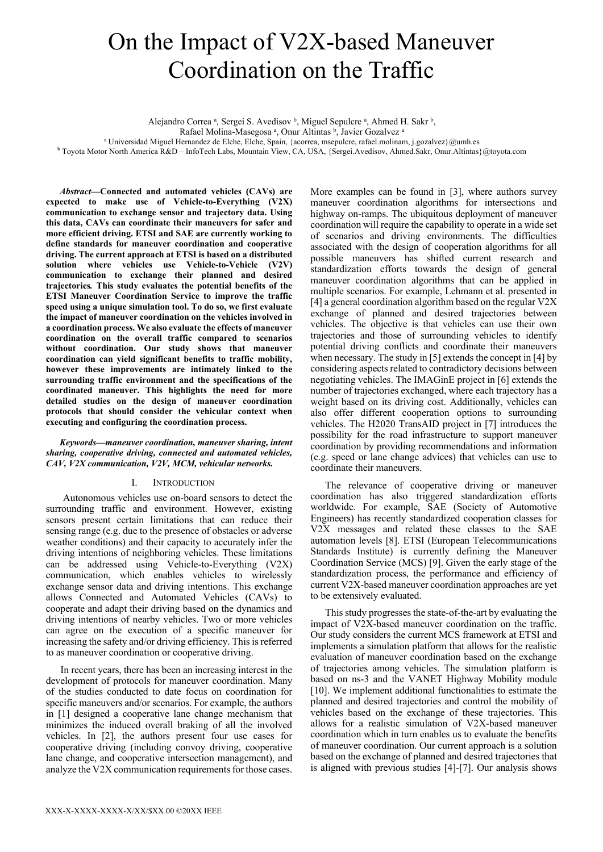# On the Impact of V2X-based Maneuver Coordination on the Traffic

Alejandro Correa<sup>a</sup>, Sergei S. Avedisov<sup>b</sup>, Miguel Sepulcre<sup>a</sup>, Ahmed H. Sakr<sup>b</sup>,

Rafael Molina-Masegosa<sup>a</sup>, Onur Altintas <sup>b</sup>, Javier Gozalvez<sup>a</sup>

<sup>a</sup> Universidad Miguel Hernandez de Elche, Elche, Spain, {acorrea, msepulcre, rafael.molinam, j.gozalvez}@umh.es

<sup>b</sup> Toyota Motor North America R&D – InfoTech Labs, Mountain View, CA, USA, {Sergei.Avedisov, Ahmed.Sakr, Onur.Altintas}@toyota.com

*Abstract***—Connected and automated vehicles (CAVs) are expected to make use of Vehicle-to-Everything (V2X) communication to exchange sensor and trajectory data. Using this data, CAVs can coordinate their maneuvers for safer and more efficient driving. ETSI and SAE are currently working to define standards for maneuver coordination and cooperative driving. The current approach at ETSI is based on a distributed solution where vehicles use Vehicle-to-Vehicle (V2V) communication to exchange their planned and desired trajectories***.* **This study evaluates the potential benefits of the ETSI Maneuver Coordination Service to improve the traffic speed using a unique simulation tool. To do so, we first evaluate the impact of maneuver coordination on the vehicles involved in a coordination process. We also evaluate the effects of maneuver coordination on the overall traffic compared to scenarios without coordination. Our study shows that maneuver coordination can yield significant benefits to traffic mobility, however these improvements are intimately linked to the surrounding traffic environment and the specifications of the coordinated maneuver. This highlights the need for more detailed studies on the design of maneuver coordination protocols that should consider the vehicular context when executing and configuring the coordination process.**

*Keywords—maneuver coordination, maneuver sharing, intent sharing, cooperative driving, connected and automated vehicles, CAV, V2X communication, V2V, MCM, vehicular networks.*

## I. INTRODUCTION

Autonomous vehicles use on-board sensors to detect the surrounding traffic and environment. However, existing sensors present certain limitations that can reduce their sensing range (e.g. due to the presence of obstacles or adverse weather conditions) and their capacity to accurately infer the driving intentions of neighboring vehicles. These limitations can be addressed using Vehicle-to-Everything (V2X) communication, which enables vehicles to wirelessly exchange sensor data and driving intentions. This exchange allows Connected and Automated Vehicles (CAVs) to cooperate and adapt their driving based on the dynamics and driving intentions of nearby vehicles. Two or more vehicles can agree on the execution of a specific maneuver for increasing the safety and/or driving efficiency. This is referred to as maneuver coordination or cooperative driving.

In recent years, there has been an increasing interest in the development of protocols for maneuver coordination. Many of the studies conducted to date focus on coordination for specific maneuvers and/or scenarios. For example, the authors in [\[1\]](#page-4-0) designed a cooperative lane change mechanism that minimizes the induced overall braking of all the involved vehicles. In [\[2\],](#page-4-1) the authors present four use cases for cooperative driving (including convoy driving, cooperative lane change, and cooperative intersection management), and analyze the V2X communication requirements for those cases.

More examples can be found in [\[3\],](#page-4-2) where authors survey maneuver coordination algorithms for intersections and highway on-ramps. The ubiquitous deployment of maneuver coordination will require the capability to operate in a wide set of scenarios and driving environments. The difficulties associated with the design of cooperation algorithms for all possible maneuvers has shifted current research and standardization efforts towards the design of general maneuver coordination algorithms that can be applied in multiple scenarios. For example, Lehmann et al. presented in [\[4\]](#page-4-3) a general coordination algorithm based on the regular V2X exchange of planned and desired trajectories between vehicles. The objective is that vehicles can use their own trajectories and those of surrounding vehicles to identify potential driving conflicts and coordinate their maneuvers when necessary. The study in [\[5\]](#page-4-4) extends the concept i[n \[4\]](#page-4-3) by considering aspects related to contradictory decisions between negotiating vehicles. The IMAGinE project in [\[6\]](#page-4-5) extends the number of trajectories exchanged, where each trajectory has a weight based on its driving cost. Additionally, vehicles can also offer different cooperation options to surrounding vehicles. The H2020 TransAID project in [\[7\]](#page-4-6) introduces the possibility for the road infrastructure to support maneuver coordination by providing recommendations and information (e.g. speed or lane change advices) that vehicles can use to coordinate their maneuvers.

The relevance of cooperative driving or maneuver coordination has also triggered standardization efforts worldwide. For example, SAE (Society of Automotive Engineers) has recently standardized cooperation classes for V2X messages and related these classes to the SAE automation levels [\[8\].](#page-4-7) ETSI (European Telecommunications Standards Institute) is currently defining the Maneuver Coordination Service (MCS) [\[9\].](#page-4-8) Given the early stage of the standardization process, the performance and efficiency of current V2X-based maneuver coordination approaches are yet to be extensively evaluated.

This study progresses the state-of-the-art by evaluating the impact of V2X-based maneuver coordination on the traffic. Our study considers the current MCS framework at ETSI and implements a simulation platform that allows for the realistic evaluation of maneuver coordination based on the exchange of trajectories among vehicles. The simulation platform is based on ns-3 and the VANET Highway Mobility module [\[10\].](#page-4-9) We implement additional functionalities to estimate the planned and desired trajectories and control the mobility of vehicles based on the exchange of these trajectories. This allows for a realistic simulation of V2X-based maneuver coordination which in turn enables us to evaluate the benefits of maneuver coordination. Our current approach is a solution based on the exchange of planned and desired trajectories that is aligned with previous studies [\[4\]](#page-4-3)[-\[7\].](#page-4-6) Our analysis shows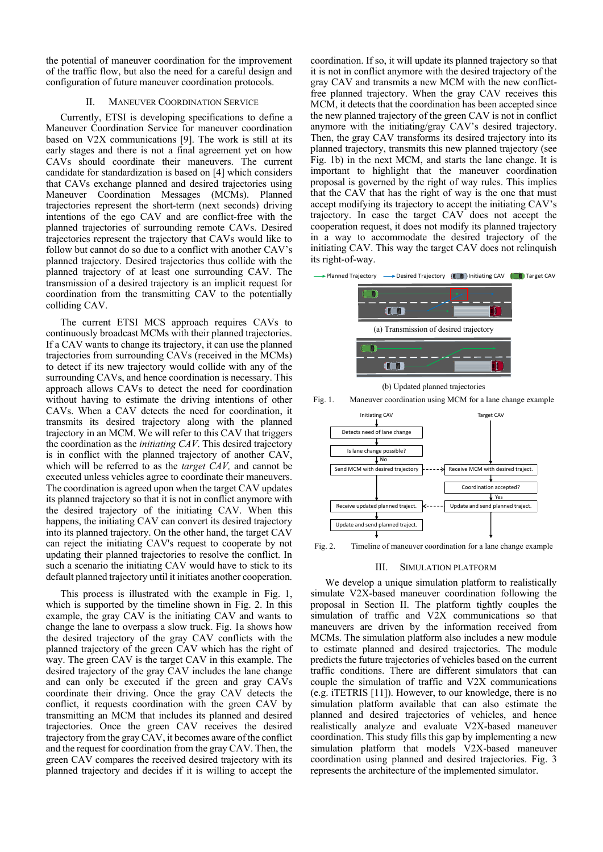the potential of maneuver coordination for the improvement of the traffic flow, but also the need for a careful design and configuration of future maneuver coordination protocols.

## II. MANEUVER COORDINATION SERVICE

Currently, ETSI is developing specifications to define a Maneuver Coordination Service for maneuver coordination based on V2X communications [\[9\].](#page-4-8) The work is still at its early stages and there is not a final agreement yet on how CAVs should coordinate their maneuvers. The current candidate for standardization is based on [\[4\]](#page-4-3) which considers that CAVs exchange planned and desired trajectories using Maneuver Coordination Messages (MCMs). Planned trajectories represent the short-term (next seconds) driving intentions of the ego CAV and are conflict-free with the planned trajectories of surrounding remote CAVs. Desired trajectories represent the trajectory that CAVs would like to follow but cannot do so due to a conflict with another CAV's planned trajectory. Desired trajectories thus collide with the planned trajectory of at least one surrounding CAV. The transmission of a desired trajectory is an implicit request for coordination from the transmitting CAV to the potentially colliding CAV.

The current ETSI MCS approach requires CAVs to continuously broadcast MCMs with their planned trajectories. If a CAV wants to change its trajectory, it can use the planned trajectories from surrounding CAVs (received in the MCMs) to detect if its new trajectory would collide with any of the surrounding CAVs, and hence coordination is necessary. This approach allows CAVs to detect the need for coordination without having to estimate the driving intentions of other CAVs. When a CAV detects the need for coordination, it transmits its desired trajectory along with the planned trajectory in an MCM. We will refer to this CAV that triggers the coordination as the *initiating CAV*. This desired trajectory is in conflict with the planned trajectory of another CAV, which will be referred to as the *target CAV,* and cannot be executed unless vehicles agree to coordinate their maneuvers. The coordination is agreed upon when the target CAV updates its planned trajectory so that it is not in conflict anymore with the desired trajectory of the initiating CAV. When this happens, the initiating CAV can convert its desired trajectory into its planned trajectory. On the other hand, the target CAV can reject the initiating CAV's request to cooperate by not updating their planned trajectories to resolve the conflict. In such a scenario the initiating CAV would have to stick to its default planned trajectory until it initiates another cooperation.

This process is illustrated with the example in [Fig. 1,](#page-1-0) which is supported by the timeline shown in [Fig. 2.](#page-1-1) In this example, the gray CAV is the initiating CAV and wants to change the lane to overpass a slow truck. [Fig. 1a](#page-1-0) shows how the desired trajectory of the gray CAV conflicts with the planned trajectory of the green CAV which has the right of way. The green CAV is the target CAV in this example. The desired trajectory of the gray CAV includes the lane change and can only be executed if the green and gray CAVs coordinate their driving. Once the gray CAV detects the conflict, it requests coordination with the green CAV by transmitting an MCM that includes its planned and desired trajectories. Once the green CAV receives the desired trajectory from the gray CAV, it becomes aware of the conflict and the request for coordination from the gray CAV. Then, the green CAV compares the received desired trajectory with its planned trajectory and decides if it is willing to accept the

coordination. If so, it will update its planned trajectory so that it is not in conflict anymore with the desired trajectory of the gray CAV and transmits a new MCM with the new conflictfree planned trajectory. When the gray CAV receives this MCM, it detects that the coordination has been accepted since the new planned trajectory of the green CAV is not in conflict anymore with the initiating/gray CAV's desired trajectory. Then, the gray CAV transforms its desired trajectory into its planned trajectory, transmits this new planned trajectory (see [Fig. 1b](#page-1-0)) in the next MCM, and starts the lane change. It is important to highlight that the maneuver coordination proposal is governed by the right of way rules. This implies that the CAV that has the right of way is the one that must accept modifying its trajectory to accept the initiating CAV's trajectory. In case the target CAV does not accept the cooperation request, it does not modify its planned trajectory in a way to accommodate the desired trajectory of the initiating CAV. This way the target CAV does not relinquish its right-of-way.



(b) Updated planned trajectories

<span id="page-1-0"></span>



<span id="page-1-1"></span>Fig. 2. Timeline of maneuver coordination for a lane change example

### III. SIMULATION PLATFORM

We develop a unique simulation platform to realistically simulate V2X-based maneuver coordination following the proposal in Section II. The platform tightly couples the simulation of traffic and V2X communications so that maneuvers are driven by the information received from MCMs. The simulation platform also includes a new module to estimate planned and desired trajectories. The module predicts the future trajectories of vehicles based on the current traffic conditions. There are different simulators that can couple the simulation of traffic and V2X communications (e.g. iTETRIS [\[11\]\)](#page-4-10). However, to our knowledge, there is no simulation platform available that can also estimate the planned and desired trajectories of vehicles, and hence realistically analyze and evaluate V2X-based maneuver coordination. This study fills this gap by implementing a new simulation platform that models V2X-based maneuver coordination using planned and desired trajectories. [Fig. 3](#page-2-0) represents the architecture of the implemented simulator.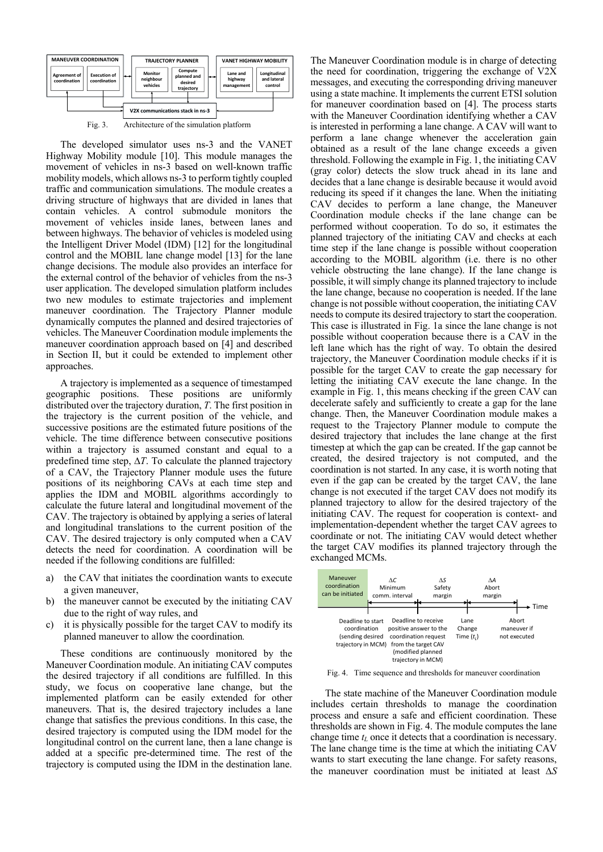

Fig. 3. Architecture of the simulation platform

<span id="page-2-0"></span>The developed simulator uses ns-3 and the VANET Highway Mobility module [\[10\].](#page-4-9) This module manages the movement of vehicles in ns-3 based on well-known traffic mobility models, which allows ns-3 to perform tightly coupled traffic and communication simulations. The module creates a driving structure of highways that are divided in lanes that contain vehicles. A control submodule monitors the movement of vehicles inside lanes, between lanes and between highways. The behavior of vehicles is modeled using the Intelligent Driver Model (IDM) [\[12\]](#page-4-11) for the longitudinal control and the MOBIL lane change model [\[13\]](#page-4-12) for the lane change decisions. The module also provides an interface for the external control of the behavior of vehicles from the ns-3 user application. The developed simulation platform includes two new modules to estimate trajectories and implement maneuver coordination. The Trajectory Planner module dynamically computes the planned and desired trajectories of vehicles. The Maneuver Coordination module implements the maneuver coordination approach based on [\[4\]](#page-4-3) and described in Section II, but it could be extended to implement other approaches.

A trajectory is implemented as a sequence of timestamped geographic positions. These positions are uniformly distributed over the trajectory duration, *T*. The first position in the trajectory is the current position of the vehicle, and successive positions are the estimated future positions of the vehicle. The time difference between consecutive positions within a trajectory is assumed constant and equal to a predefined time step,  $\Delta T$ . To calculate the planned trajectory of a CAV, the Trajectory Planner module uses the future positions of its neighboring CAVs at each time step and applies the IDM and MOBIL algorithms accordingly to calculate the future lateral and longitudinal movement of the CAV. The trajectory is obtained by applying a series of lateral and longitudinal translations to the current position of the CAV. The desired trajectory is only computed when a CAV detects the need for coordination. A coordination will be needed if the following conditions are fulfilled:

- a) the CAV that initiates the coordination wants to execute a given maneuver,
- b) the maneuver cannot be executed by the initiating CAV due to the right of way rules, and
- c) it is physically possible for the target CAV to modify its planned maneuver to allow the coordination*.*

These conditions are continuously monitored by the Maneuver Coordination module. An initiating CAV computes the desired trajectory if all conditions are fulfilled. In this study, we focus on cooperative lane change, but the implemented platform can be easily extended for other maneuvers. That is, the desired trajectory includes a lane change that satisfies the previous conditions. In this case, the desired trajectory is computed using the IDM model for the longitudinal control on the current lane, then a lane change is added at a specific pre-determined time. The rest of the trajectory is computed using the IDM in the destination lane.

The Maneuver Coordination module is in charge of detecting the need for coordination, triggering the exchange of V2X messages, and executing the corresponding driving maneuver using a state machine. It implements the current ETSI solution for maneuver coordination based on [\[4\].](#page-4-3) The process starts with the Maneuver Coordination identifying whether a CAV is interested in performing a lane change. A CAV will want to perform a lane change whenever the acceleration gain obtained as a result of the lane change exceeds a given threshold. Following the example i[n Fig. 1,](#page-1-0) the initiating CAV (gray color) detects the slow truck ahead in its lane and decides that a lane change is desirable because it would avoid reducing its speed if it changes the lane. When the initiating CAV decides to perform a lane change, the Maneuver Coordination module checks if the lane change can be performed without cooperation. To do so, it estimates the planned trajectory of the initiating CAV and checks at each time step if the lane change is possible without cooperation according to the MOBIL algorithm (i.e. there is no other vehicle obstructing the lane change). If the lane change is possible, it will simply change its planned trajectory to include the lane change, because no cooperation is needed. If the lane change is not possible without cooperation, the initiating CAV needs to compute its desired trajectory to start the cooperation. This case is illustrated in [Fig. 1a](#page-1-0) since the lane change is not possible without cooperation because there is a CAV in the left lane which has the right of way. To obtain the desired trajectory, the Maneuver Coordination module checks if it is possible for the target CAV to create the gap necessary for letting the initiating CAV execute the lane change. In the example in [Fig. 1,](#page-1-0) this means checking if the green CAV can decelerate safely and sufficiently to create a gap for the lane change. Then, the Maneuver Coordination module makes a request to the Trajectory Planner module to compute the desired trajectory that includes the lane change at the first timestep at which the gap can be created. If the gap cannot be created, the desired trajectory is not computed, and the coordination is not started. In any case, it is worth noting that even if the gap can be created by the target CAV, the lane change is not executed if the target CAV does not modify its planned trajectory to allow for the desired trajectory of the initiating CAV. The request for cooperation is context- and implementation-dependent whether the target CAV agrees to coordinate or not. The initiating CAV would detect whether the target CAV modifies its planned trajectory through the exchanged MCMs.



<span id="page-2-1"></span>Fig. 4. Time sequence and thresholds for maneuver coordination

The state machine of the Maneuver Coordination module includes certain thresholds to manage the coordination process and ensure a safe and efficient coordination. These thresholds are shown in [Fig. 4.](#page-2-1) The module computes the lane change time *t<sup>L</sup>* once it detects that a coordination is necessary. The lane change time is the time at which the initiating CAV wants to start executing the lane change. For safety reasons, the maneuver coordination must be initiated at least  $\Delta S$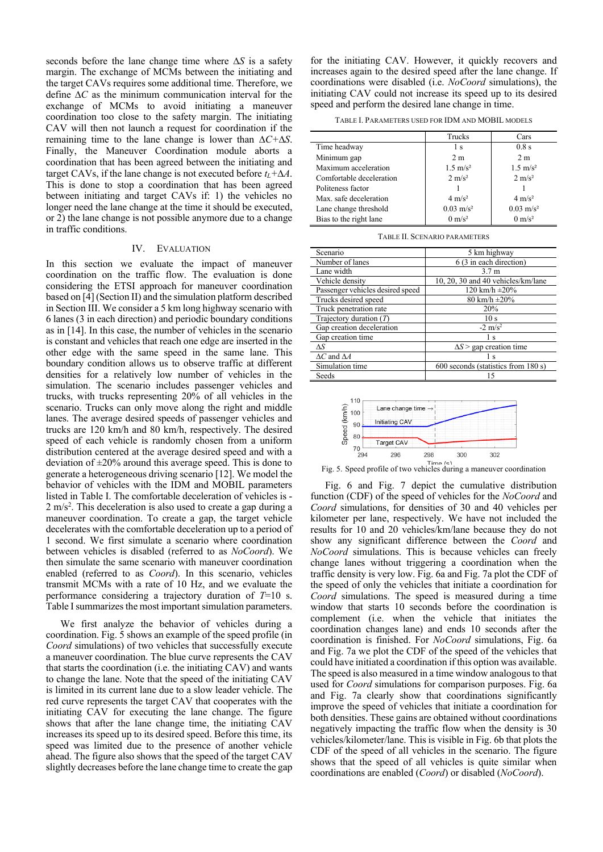seconds before the lane change time where  $\Delta S$  is a safety margin. The exchange of MCMs between the initiating and the target CAVs requires some additional time. Therefore, we define  $\Delta C$  as the minimum communication interval for the exchange of MCMs to avoid initiating a maneuver coordination too close to the safety margin. The initiating CAV will then not launch a request for coordination if the remaining time to the lane change is lower than  $\Delta C + \Delta S$ . Finally, the Maneuver Coordination module aborts a coordination that has been agreed between the initiating and target CAVs, if the lane change is not executed before  $t_l + \Delta A$ . This is done to stop a coordination that has been agreed between initiating and target CAVs if: 1) the vehicles no longer need the lane change at the time it should be executed, or 2) the lane change is not possible anymore due to a change in traffic conditions.

## IV. EVALUATION

In this section we evaluate the impact of maneuver coordination on the traffic flow. The evaluation is done considering the ETSI approach for maneuver coordination based o[n \[4\]](#page-4-3) (Section II) and the simulation platform described in Section III. We consider a 5 km long highway scenario with 6 lanes (3 in each direction) and periodic boundary conditions as in [\[14\].](#page-4-13) In this case, the number of vehicles in the scenario is constant and vehicles that reach one edge are inserted in the other edge with the same speed in the same lane. This boundary condition allows us to observe traffic at different densities for a relatively low number of vehicles in the simulation. The scenario includes passenger vehicles and trucks, with trucks representing 20% of all vehicles in the scenario. Trucks can only move along the right and middle lanes. The average desired speeds of passenger vehicles and trucks are 120 km/h and 80 km/h, respectively. The desired speed of each vehicle is randomly chosen from a uniform distribution centered at the average desired speed and with a deviation of  $\pm 20\%$  around this average speed. This is done to generate a heterogeneous driving scenario [\[12\].](#page-4-11) We model the behavior of vehicles with the IDM and MOBIL parameters listed in Table I. The comfortable deceleration of vehicles is -  $2 \text{ m/s}^2$ . This deceleration is also used to create a gap during a maneuver coordination. To create a gap, the target vehicle decelerates with the comfortable deceleration up to a period of 1 second. We first simulate a scenario where coordination between vehicles is disabled (referred to as *NoCoord*). We then simulate the same scenario with maneuver coordination enabled (referred to as *Coord*). In this scenario, vehicles transmit MCMs with a rate of 10 Hz, and we evaluate the performance considering a trajectory duration of *T*=10 s. Table I summarizes the most important simulation parameters.

We first analyze the behavior of vehicles during a coordination. [Fig. 5](#page-3-0) shows an example of the speed profile (in *Coord* simulations) of two vehicles that successfully execute a maneuver coordination. The blue curve represents the CAV that starts the coordination (i.e. the initiating CAV) and wants to change the lane. Note that the speed of the initiating CAV is limited in its current lane due to a slow leader vehicle. The red curve represents the target CAV that cooperates with the initiating CAV for executing the lane change. The figure shows that after the lane change time, the initiating CAV increases its speed up to its desired speed. Before this time, its speed was limited due to the presence of another vehicle ahead. The figure also shows that the speed of the target CAV slightly decreases before the lane change time to create the gap

for the initiating CAV. However, it quickly recovers and increases again to the desired speed after the lane change. If coordinations were disabled (i.e. *NoCoord* simulations), the initiating CAV could not increase its speed up to its desired speed and perform the desired lane change in time.

TABLE I. PARAMETERS USED FOR IDM AND MOBIL MODELS

|                          | Trucks               | Cars                 |
|--------------------------|----------------------|----------------------|
| Time headway             | 1 <sub>s</sub>       | $0.8$ s              |
| Minimum gap              | 2 <sub>m</sub>       | 2 <sub>m</sub>       |
| Maximum acceleration     | $1.5 \text{ m/s}^2$  | $1.5 \text{ m/s}^2$  |
| Comfortable deceleration | $2 \text{ m/s}^2$    | $2 \text{ m/s}^2$    |
| Politeness factor        |                      |                      |
| Max. safe deceleration   | $4 \text{ m/s}^2$    | $4 \text{ m/s}^2$    |
| Lane change threshold    | $0.03 \text{ m/s}^2$ | $0.03 \text{ m/s}^2$ |
| Bias to the right lane   | $0 \text{ m/s}^2$    | $0 \text{ m/s}^2$    |

|  |  | <b>TABLE II. SCENARIO PARAMETERS</b> |
|--|--|--------------------------------------|
|--|--|--------------------------------------|

| Scenario                         | 5 km highway                        |  |
|----------------------------------|-------------------------------------|--|
| Number of lanes                  | 6 (3 in each direction)             |  |
| Lane width                       | 3.7 <sub>m</sub>                    |  |
| Vehicle density                  | 10, 20, 30 and 40 vehicles/km/lane  |  |
| Passenger vehicles desired speed | 120 km/h $\pm 20\%$                 |  |
| Trucks desired speed             | 80 km/h $\pm 20\%$                  |  |
| Truck penetration rate           | 20%                                 |  |
| Trajectory duration $(T)$        | 10 <sub>s</sub>                     |  |
| Gap creation deceleration        | $-2 \text{ m/s}^2$                  |  |
| Gap creation time                | 1 <sub>s</sub>                      |  |
| $\Delta S$                       | $\Delta S$ > gap creation time      |  |
| $\Delta C$ and $\Delta A$        | Ιs                                  |  |
| Simulation time                  | 600 seconds (statistics from 180 s) |  |
| Seeds                            |                                     |  |



<span id="page-3-0"></span>Fig. 5. Speed profile of two vehicles during a maneuver coordination

[Fig. 6](#page-4-14) and [Fig. 7](#page-4-15) depict the cumulative distribution function (CDF) of the speed of vehicles for the *NoCoord* and *Coord* simulations, for densities of 30 and 40 vehicles per kilometer per lane, respectively. We have not included the results for 10 and 20 vehicles/km/lane because they do not show any significant difference between the *Coord* and *NoCoord* simulations. This is because vehicles can freely change lanes without triggering a coordination when the traffic density is very low. [Fig. 6a](#page-4-14) an[d Fig. 7a](#page-4-15) plot the CDF of the speed of only the vehicles that initiate a coordination for *Coord* simulations. The speed is measured during a time window that starts 10 seconds before the coordination is complement (i.e. when the vehicle that initiates the coordination changes lane) and ends 10 seconds after the coordination is finished. For *NoCoord* simulations, [Fig. 6a](#page-4-14) an[d Fig. 7a](#page-4-15) we plot the CDF of the speed of the vehicles that could have initiated a coordination if this option was available. The speed is also measured in a time window analogous to that used for *Coord* simulations for comparison purposes. [Fig. 6a](#page-4-14) and [Fig. 7a](#page-4-15) clearly show that coordinations significantly improve the speed of vehicles that initiate a coordination for both densities. These gains are obtained without coordinations negatively impacting the traffic flow when the density is 30 vehicles/kilometer/lane. This is visible in [Fig. 6b](#page-4-14) that plots the CDF of the speed of all vehicles in the scenario. The figure shows that the speed of all vehicles is quite similar when coordinations are enabled (*Coord*) or disabled (*NoCoord*).